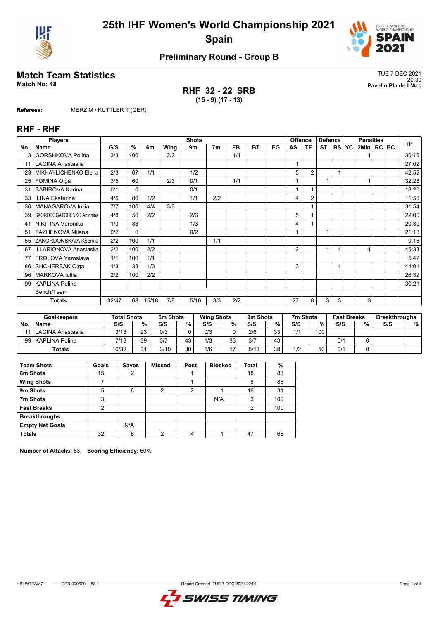



# **Match Team Statistics** TUE 7 DEC 2021

**RHF 32 - 22 SRB (15 - 9) (17 - 13)**

20:30 **Match No: 48 Pavello Pla de L'Arc**

**Referees:** MERZ M / KUTTLER T (GER)

### **RHF - RHF**

|     | <b>Players</b>            |       |              |       |      | <b>Shots</b> |                |           |           |    |                | <b>Offence</b> | <b>Defence</b> |           | <b>Penalties</b> |                |  |  | <b>TP</b> |
|-----|---------------------------|-------|--------------|-------|------|--------------|----------------|-----------|-----------|----|----------------|----------------|----------------|-----------|------------------|----------------|--|--|-----------|
| No. | <b>Name</b>               | G/S   | $\%$         | 6m    | Wing | 9m           | 7 <sub>m</sub> | <b>FB</b> | <b>BT</b> | EG | AS             | <b>TF</b>      | <b>ST</b>      | <b>BS</b> | <b>YC</b>        | 2Min   RC   BC |  |  |           |
| 3   | <b>GORSHKOVA Polina</b>   | 3/3   | 100          |       | 2/2  |              |                | 1/1       |           |    |                |                |                |           |                  |                |  |  | 30:16     |
| 11  | <b>LAGINA Anastasija</b>  |       |              |       |      |              |                |           |           |    | 4              |                |                |           |                  |                |  |  | 27:02     |
| 23  | MIKHAYLICHENKO Elena      | 2/3   | 67           | 1/1   |      | 1/2          |                |           |           |    | 5              | $\overline{2}$ |                |           |                  |                |  |  | 42:52     |
| 25  | FOMINA Olga               | 3/5   | 60           |       | 2/3  | 0/1          |                | 1/1       |           |    |                |                | 1              |           |                  |                |  |  | 32:28     |
| 31  | SABIROVA Karina           | 0/1   | $\mathbf{0}$ |       |      | 0/1          |                |           |           |    |                |                |                |           |                  |                |  |  | 18:20     |
| 33  | <b>ILINA Ekaterina</b>    | 4/5   | 80           | 1/2   |      | 1/1          | 2/2            |           |           |    | 4              | $\overline{2}$ |                |           |                  |                |  |  | 11:55     |
| 36  | MANAGAROVA Iuliia         | 7/7   | 100          | 4/4   | 3/3  |              |                |           |           |    |                |                |                |           |                  |                |  |  | 31:54     |
| 39  | SKOROBOGATCHENKO Antonina | 4/8   | 50           | 2/2   |      | 2/6          |                |           |           |    | 5              |                |                |           |                  |                |  |  | 22:00     |
| 41  | NIKITINA Veronika         | 1/3   | 33           |       |      | 1/3          |                |           |           |    | 4              |                |                |           |                  |                |  |  | 20:30     |
| 51  | <b>TAZHENOVA Milana</b>   | 0/2   | $\mathbf{0}$ |       |      | 0/2          |                |           |           |    |                |                |                |           |                  |                |  |  | 21:18     |
| 55  | ZAKORDONSKAIA Ksenija     | 2/2   | 100          | 1/1   |      |              | 1/1            |           |           |    |                |                |                |           |                  |                |  |  | 9:16      |
| 67  | ILLARIONOVA Anastasiia    | 2/2   | 100          | 2/2   |      |              |                |           |           |    | $\overline{2}$ |                | 1              |           |                  |                |  |  | 45:33     |
| 77  | FROLOVA Yaroslava         | 1/1   | 100          | 1/1   |      |              |                |           |           |    |                |                |                |           |                  |                |  |  | 5:42      |
| 86  | <b>SHCHERBAK Olga</b>     | 1/3   | 33           | 1/3   |      |              |                |           |           |    | 3              |                |                |           |                  |                |  |  | 44:01     |
| 96  | <b>MARKOVA Iuliia</b>     | 2/2   | 100          | 2/2   |      |              |                |           |           |    |                |                |                |           |                  |                |  |  | 26:32     |
| 99  | <b>KAPLINA Polina</b>     |       |              |       |      |              |                |           |           |    |                |                |                |           |                  |                |  |  | 30:21     |
|     | Bench/Team                |       |              |       |      |              |                |           |           |    |                |                |                |           |                  |                |  |  |           |
|     | <b>Totals</b>             | 32/47 | 68           | 15/18 | 7/8  | 5/16         | 3/3            | 2/2       |           |    | 27             | 8              | 3              | 3         |                  | 3              |  |  |           |

|    | <b>Goalkeepers</b>  | <b>Total Shots</b> |    | 6m Shots |    | <b>Wing Shots</b> |                | 9m Shots |    | 7m Shots |     | <b>Fast Breaks</b> |   | <b>Breakthroughs</b> |   |
|----|---------------------|--------------------|----|----------|----|-------------------|----------------|----------|----|----------|-----|--------------------|---|----------------------|---|
| No | <b>Name</b>         | S/S                | %. | S/S      | %  | S/S               | %              | S/S      | %  | S/S      | %   | S/S                | % | S/S                  | % |
|    | l LAGINA Anastasija | 3/13               | 23 | 0/3      |    | 0/3               |                | 2/6      | 33 | 1/1      | 100 |                    |   |                      |   |
|    | 99   KAPLINA Polina | 7/18               | 39 | 3/7      | 43 | 1/3               | 33             | 3/7      | 43 |          |     | 0/1                |   |                      |   |
|    | <b>Totals</b>       | 10/32              | 24 | 3/10     | 30 | 1/6               | $\overline{ }$ | 5/13     | 38 | 1/2      | 50  | 0/1                |   |                      |   |

| <b>Team Shots</b>      | Goals | <b>Saves</b> | <b>Missed</b> | Post | <b>Blocked</b> | <b>Total</b>   | %   |
|------------------------|-------|--------------|---------------|------|----------------|----------------|-----|
| 6m Shots               | 15    | 2            |               |      |                | 18             | 83  |
| <b>Wing Shots</b>      |       |              |               |      |                | 8              | 88  |
| 9m Shots               | 5     | 6            | 2             | 2    |                | 16             | 31  |
| 7m Shots               | 3     |              |               |      | N/A            | 3              | 100 |
| <b>Fast Breaks</b>     | 2     |              |               |      |                | $\overline{2}$ | 100 |
| <b>Breakthroughs</b>   |       |              |               |      |                |                |     |
| <b>Empty Net Goals</b> |       | N/A          |               |      |                |                |     |
| <b>Totals</b>          | 32    | 8            | ◠             | 4    |                | 47             | 68  |

**Number of Attacks:** 53, **Scoring Efficiency:** 60%

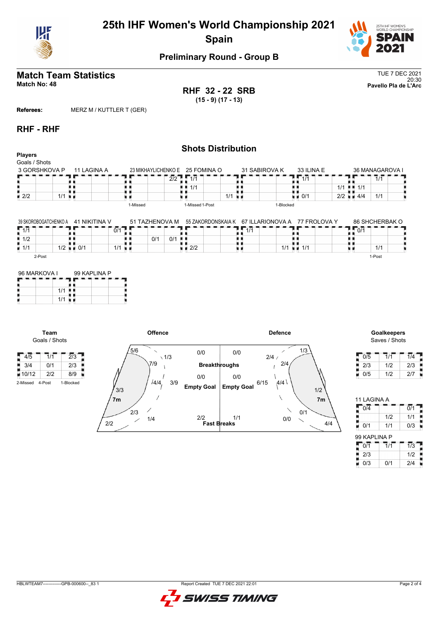



### **Match Team Statistics** TUE 7 DEC 2021 20:30 **Match No: 48 Pavello Pla de L'Arc**

**RHF 32 - 22 SRB (15 - 9) (17 - 13)**

**Referees:** MERZ M / KUTTLER T (GER)

### **RHF - RHF**

|                                 |                       |               |                                 |                 | <b>Shots Distribution</b>                        |                    |                                     |                 |
|---------------------------------|-----------------------|---------------|---------------------------------|-----------------|--------------------------------------------------|--------------------|-------------------------------------|-----------------|
| <b>Players</b><br>Goals / Shots |                       |               |                                 |                 |                                                  |                    |                                     |                 |
| 3 GORSHKOVA P                   |                       | 11 LAGINA A   | 23 MIKHAYLICHENKO E 25 FOMINA O |                 | 31 SABIROVA K                                    | 33 ILINA E         |                                     | 36 MANAGAROVA I |
|                                 |                       |               |                                 | 2/2<br>1/1      |                                                  | 1/1                |                                     | 1/1             |
|                                 |                       |               |                                 | 1/1<br>. .      |                                                  |                    | $1/1$ $\parallel$ $\parallel$ $1/1$ |                 |
| $\blacksquare$ 2/2              | $1/1$ $\blacksquare$  |               |                                 |                 | $1/1$ $\blacksquare$                             | $\blacksquare$ 0/1 | $2/2 = 4/4$                         | 1/1             |
|                                 |                       |               | 1-Missed                        | 1-Missed 1-Post |                                                  | 1-Blocked          |                                     |                 |
|                                 |                       |               |                                 |                 |                                                  |                    |                                     |                 |
|                                 | 39 SKOROBOGATCHENKO A | 41 NIKITINA V | 51 TAZHENOVA M                  |                 | 55 ZAKORDONSKAJA K 67 ILLARIONOVA A 77 FROLOVA Y |                    |                                     | 86 SHCHERBAK O  |

| 4711               | - - - - -<br>- 1 | -------<br>___<br>∙/0 |            | $\overline{414}$ | . <i>.</i> . | ---<br>------<br>and the con-<br>0/1 |
|--------------------|------------------|-----------------------|------------|------------------|--------------|--------------------------------------|
| $\blacksquare$ 1/2 |                  |                       | 0/1<br>0/1 |                  |              |                                      |
| $\blacksquare$ 1/1 | 1/2<br>0/1       | 111                   | 2/2        |                  | 111<br>1/1   | 1/1                                  |
| 2-Post             |                  |                       |            |                  |              | 1-Post                               |

| 96 MARKOVA I | 99 KAPLINA P |  |  |  |  |  |  |
|--------------|--------------|--|--|--|--|--|--|
|              |              |  |  |  |  |  |  |
| 1/1          |              |  |  |  |  |  |  |
| 1/1          |              |  |  |  |  |  |  |

**Team** Goals / Shots





| 0/5 | 1/1 | 1/4 |
|-----|-----|-----|
| 2/3 | 1/2 | 2/3 |
| 0/5 | 1/2 | 2/7 |

| 11 LAGINA A      |                  |                  |
|------------------|------------------|------------------|
| $0/\overline{4}$ |                  | $\overline{0/1}$ |
|                  | 1/2              | 1/1              |
| 0/1              | 1/1              | 0/3              |
| 99 KAPLINA P     |                  |                  |
| 0/1              | $\overline{1/1}$ | $\overline{1/3}$ |
| 2/3              |                  | 1/2              |
| 0/3              | 0/1              | 2/4              |

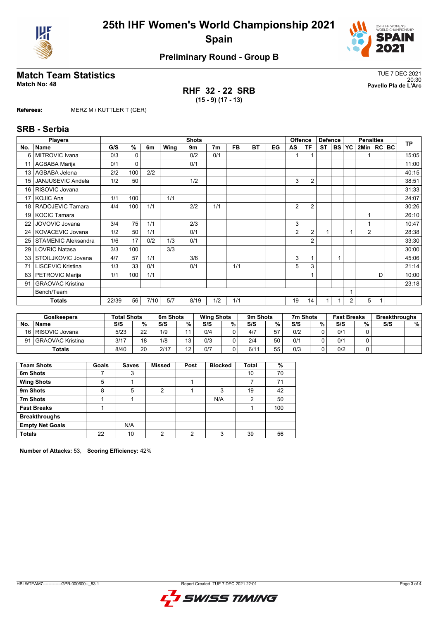



# **Match Team Statistics**<br>Match No: 48<br>Pavello Pla de L'Arc

**RHF 32 - 22 SRB (15 - 9) (17 - 13)**

20:30 **Match No: 48 Pavello Pla de L'Arc**

**Referees:** MERZ M / KUTTLER T (GER)

### **SRB - Serbia**

|     | <b>Players</b>             |       |     |      |      | <b>Shots</b> |                |           |           |    |    | <b>Offence</b> | <b>Defence</b> |           | <b>Penalties</b> |                |   |  | <b>TP</b> |
|-----|----------------------------|-------|-----|------|------|--------------|----------------|-----------|-----------|----|----|----------------|----------------|-----------|------------------|----------------|---|--|-----------|
| No. | Name                       | G/S   | %   | 6m   | Wing | 9m           | 7 <sub>m</sub> | <b>FB</b> | <b>BT</b> | EG | AS | ΤF             | <b>ST</b>      | <b>BS</b> | <b>YC</b>        | 2Min   RC BC   |   |  |           |
| 6   | MITROVIC Ivana             | 0/3   | 0   |      |      | 0/2          | 0/1            |           |           |    |    |                |                |           |                  |                |   |  | 15:05     |
| 11  | AGBABA Marija              | 0/1   | 0   |      |      | 0/1          |                |           |           |    |    |                |                |           |                  |                |   |  | 11:00     |
| 13  | AGBABA Jelena              | 2/2   | 100 | 2/2  |      |              |                |           |           |    |    |                |                |           |                  |                |   |  | 40:15     |
| 15  | <b>JANJUSEVIC Andela</b>   | 1/2   | 50  |      |      | 1/2          |                |           |           |    | 3  | $\overline{2}$ |                |           |                  |                |   |  | 38:51     |
| 16  | RISOVIC Jovana             |       |     |      |      |              |                |           |           |    |    |                |                |           |                  |                |   |  | 31:33     |
| 17  | <b>KOJIC Ana</b>           | 1/1   | 100 |      | 1/1  |              |                |           |           |    |    |                |                |           |                  |                |   |  | 24:07     |
| 18  | RADOJEVIC Tamara           | 4/4   | 100 | 1/1  |      | 2/2          | 1/1            |           |           |    | 2  | $\overline{2}$ |                |           |                  |                |   |  | 30:26     |
| 19  | <b>KOCIC Tamara</b>        |       |     |      |      |              |                |           |           |    |    |                |                |           |                  |                |   |  | 26:10     |
| 22  | JOVOVIC Jovana             | 3/4   | 75  | 1/1  |      | 2/3          |                |           |           |    | 3  |                |                |           |                  |                |   |  | 10:47     |
| 24  | KOVACEVIC Jovana           | 1/2   | 50  | 1/1  |      | 0/1          |                |           |           |    | 2  | $\overline{2}$ |                |           |                  | $\overline{2}$ |   |  | 28:38     |
| 25  | <b>STAMENIC Aleksandra</b> | 1/6   | 17  | 0/2  | 1/3  | 0/1          |                |           |           |    |    | $\overline{2}$ |                |           |                  |                |   |  | 33:30     |
| 29  | <b>LOVRIC Natasa</b>       | 3/3   | 100 |      | 3/3  |              |                |           |           |    |    |                |                |           |                  |                |   |  | 30:00     |
| 33  | STOILJKOVIC Jovana         | 4/7   | 57  | 1/1  |      | 3/6          |                |           |           |    | 3  |                |                |           |                  |                |   |  | 45:06     |
| 71  | <b>LISCEVIC Kristina</b>   | 1/3   | 33  | 0/1  |      | 0/1          |                | 1/1       |           |    | 5  | 3              |                |           |                  |                |   |  | 21:14     |
| 83  | PETROVIC Marija            | 1/1   | 100 | 1/1  |      |              |                |           |           |    |    |                |                |           |                  |                | D |  | 10:00     |
| 91  | <b>GRAOVAC Kristina</b>    |       |     |      |      |              |                |           |           |    |    |                |                |           |                  |                |   |  | 23:18     |
|     | Bench/Team                 |       |     |      |      |              |                |           |           |    |    |                |                |           |                  |                |   |  |           |
|     | Totals                     | 22/39 | 56  | 7/10 | 5/7  | 8/19         | 1/2            | 1/1       |           |    | 19 | 14             |                |           | $\overline{2}$   | 5              | 1 |  |           |

|     | <b>Goalkeepers</b>  | <b>Total Shots</b> |     | 6m Shots |                | <b>Wing Shots</b> |   | 9m Shots |    | 7m Shots |   | <b>Fast Breaks</b> |   | <b>Breakthroughs</b> |   |
|-----|---------------------|--------------------|-----|----------|----------------|-------------------|---|----------|----|----------|---|--------------------|---|----------------------|---|
| No. | <b>Name</b>         | S/S                | %   | S/S      | %              | S/S               | % | S/S      | %  | S/S      | % | S/S                | % | S/S                  | % |
|     | 16   RISOVIC Jovana | 5/23               | つつ  | 1/9      |                | 0/4               |   | 4/7      | 57 | 0/2      |   | 0/1                |   |                      |   |
| 91  | l GRAOVAC Kristina  | 3/17               | 1 Q | 1/8      | 12             | 0/3               |   | 2/4      | 50 | 0/1      |   | 0/1                |   |                      |   |
|     | Totals              | 8/40               | 20  | 2/17     | $\overline{ }$ | 0/7               |   | 6/11     | 55 | 0/3      |   | 0/2                |   |                      |   |

| <b>Team Shots</b>      | Goals | <b>Saves</b> | <b>Missed</b> | Post | <b>Blocked</b> | Total | %   |
|------------------------|-------|--------------|---------------|------|----------------|-------|-----|
| 6m Shots               |       | 3            |               |      |                | 10    | 70  |
| <b>Wing Shots</b>      | 5     |              |               |      |                |       | 71  |
| 9m Shots               | 8     | 5            | 2             |      | 3              | 19    | 42  |
| 7m Shots               |       |              |               |      | N/A            | 2     | 50  |
| <b>Fast Breaks</b>     |       |              |               |      |                |       | 100 |
| <b>Breakthroughs</b>   |       |              |               |      |                |       |     |
| <b>Empty Net Goals</b> |       | N/A          |               |      |                |       |     |
| <b>Totals</b>          | 22    | 10           | ∩             | ົ    | ર              | 39    | 56  |

**Number of Attacks:** 53, **Scoring Efficiency:** 42%